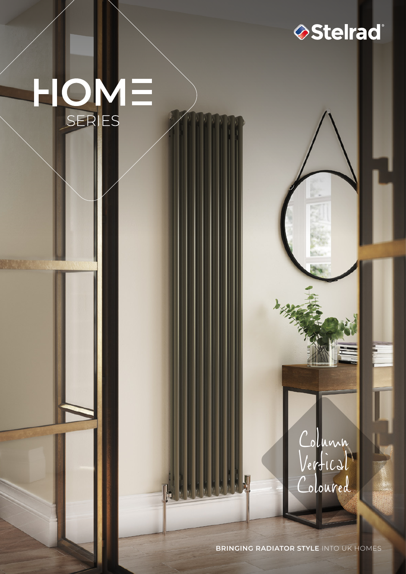# HOME SERIES

Column

Stelrad<sup>®</sup>

Vertical

Coloured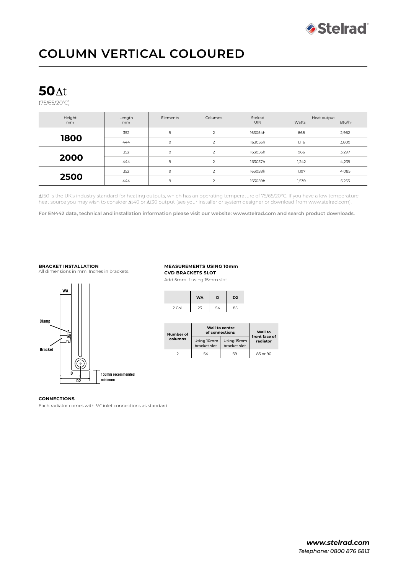

# **COLUMN VERTICAL COLOURED**

## **50**

(75/65/20º C)

| Height<br>mm | Length<br>mm | Elements | Columns        | Stelrad<br><b>UIN</b> | Heat output<br>Watts | Btu/hr |
|--------------|--------------|----------|----------------|-----------------------|----------------------|--------|
| 1800         | 352          | 9        | 2              | 163054h               | 868                  | 2,962  |
|              | 444          | 9        | 2              | 163055h               | 1,116                | 3,809  |
| 2000         | 352          | 9        | $\overline{2}$ | 163056h               | 966                  | 3,297  |
|              | 444          | 9        | 2              | 163057h               | 1,242                | 4,239  |
| 2500         | 352          | 9        | 2              | 163058h               | 1,197                | 4,085  |
|              | 444          | 9        | $\overline{2}$ | 163059h               | 1,539                | 5,253  |

t50 is the UK's industry standard for heating outputs, which has an operating temperature of 75/65/20°C. If you have a low temperature heat source you may wish to consider  $\Delta t$ 40 or  $\Delta t$ 30 output (see your installer or system designer or download from www.stelrad.com).

**Suitable for TBOB+BOE CONNECTION ONLY For EN442 data, technical and installation information please visit our website: www.stelrad.com and search product downloads.**

#### **installation BRACKET INSTALLATION**

All dimensions in mm. Inches in brackets.



#### **Floor Fixing Kit MEASUREMENTS USING 10mm CVD BRACKETS SLOT**

Add 5mm if using 15mm slot



| Number of<br>columns | Wall to centre<br>of connections | Wall to<br>front face of   |          |
|----------------------|----------------------------------|----------------------------|----------|
|                      | Using 10mm<br>bracket slot       | Using 15mm<br>bracket slot | radiator |
|                      | 54                               | 59                         | 85 or 90 |

#### **CONNECTIONS**

Each radiator comes with ½" inlet connections as standard.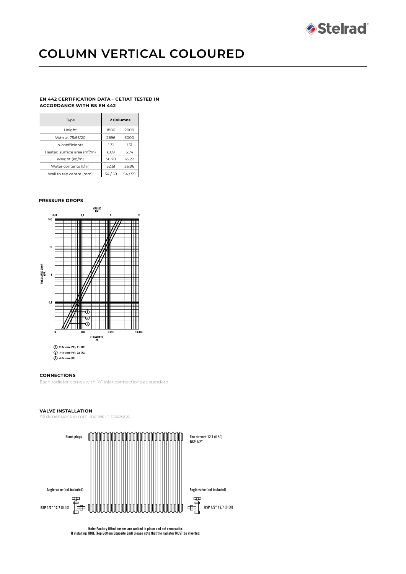

# **COLUMN VERTICAL COLOURED**

#### **EN 442 CERTIFICATION DATA - CETIAT TESTED IN ACCORDANCE WITH BS EN 442**

| Type                                    | 2 Columns |       |  |
|-----------------------------------------|-----------|-------|--|
| Height                                  | 1800      | 2000  |  |
| W/m at 75/65/20                         | 2696      | 3000  |  |
| n-coefficients                          | 1.31      | 1.31  |  |
| Heated surface area (m <sup>2</sup> /m) | 6.09      | 6.74  |  |
| Weight (kg/m)                           | 58.70     | 65.22 |  |
| Water contents (I/m)                    | 32.61     | 36.96 |  |
| Wall to tap centre (mm)                 | 54/59     | 54/59 |  |

#### **PRESSURE DROPS**



#### **CONNECTIONS**

Each radiator comes with ½" inlet connections as standard.

#### **VALVE INSTALLATION**

All dimensions in mm. Inches in brackets.



**Note: Factory fitted bushes are welded in place and not removable. If installing TBOE (Top Bottom Opposite End) please note that the radiator MUST be inverted.**